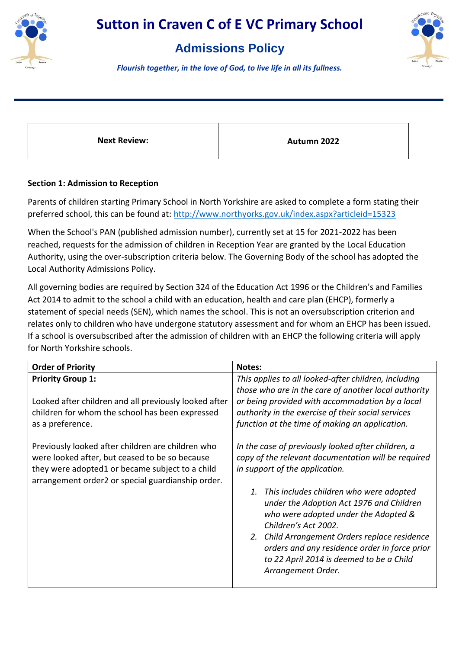

### **Admissions Policy**



*Flourish together, in the love of God, to live life in all its fullness.*

**Next Review: Autumn 2022** 

#### **Section 1: Admission to Reception**

Parents of children starting Primary School in North Yorkshire are asked to complete a form stating their preferred school, this can be found at:<http://www.northyorks.gov.uk/index.aspx?articleid=15323>

When the School's PAN (published admission number), currently set at 15 for 2021-2022 has been reached, requests for the admission of children in Reception Year are granted by the Local Education Authority, using the over-subscription criteria below. The Governing Body of the school has adopted the Local Authority Admissions Policy.

All governing bodies are required by Section 324 of the Education Act 1996 or the Children's and Families Act 2014 to admit to the school a child with an education, health and care plan (EHCP), formerly a statement of special needs (SEN), which names the school. This is not an oversubscription criterion and relates only to children who have undergone statutory assessment and for whom an EHCP has been issued. If a school is oversubscribed after the admission of children with an EHCP the following criteria will apply for North Yorkshire schools.

| <b>Order of Priority</b>                                                                                                                                                                                                                                                                                                                                                | Notes:                                                                                                                                                                                                                                                                                                                                                                                                                                                                                                                                                                                                                                                                                                                                                  |
|-------------------------------------------------------------------------------------------------------------------------------------------------------------------------------------------------------------------------------------------------------------------------------------------------------------------------------------------------------------------------|---------------------------------------------------------------------------------------------------------------------------------------------------------------------------------------------------------------------------------------------------------------------------------------------------------------------------------------------------------------------------------------------------------------------------------------------------------------------------------------------------------------------------------------------------------------------------------------------------------------------------------------------------------------------------------------------------------------------------------------------------------|
| <b>Priority Group 1:</b><br>Looked after children and all previously looked after<br>children for whom the school has been expressed<br>as a preference.<br>Previously looked after children are children who<br>were looked after, but ceased to be so because<br>they were adopted1 or became subject to a child<br>arrangement order2 or special guardianship order. | This applies to all looked-after children, including<br>those who are in the care of another local authority<br>or being provided with accommodation by a local<br>authority in the exercise of their social services<br>function at the time of making an application.<br>In the case of previously looked after children, a<br>copy of the relevant documentation will be required<br>in support of the application.<br>This includes children who were adopted<br>1.<br>under the Adoption Act 1976 and Children<br>who were adopted under the Adopted &<br>Children's Act 2002.<br>2. Child Arrangement Orders replace residence<br>orders and any residence order in force prior<br>to 22 April 2014 is deemed to be a Child<br>Arrangement Order. |
|                                                                                                                                                                                                                                                                                                                                                                         |                                                                                                                                                                                                                                                                                                                                                                                                                                                                                                                                                                                                                                                                                                                                                         |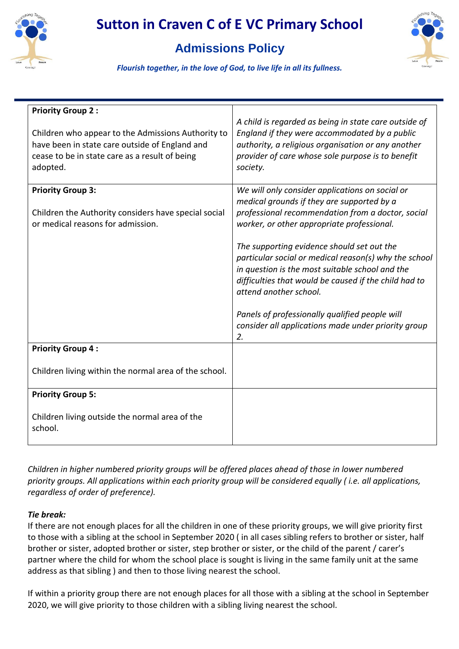

### **Admissions Policy**



*Flourish together, in the love of God, to live life in all its fullness.*

| <b>Priority Group 2:</b><br>Children who appear to the Admissions Authority to<br>have been in state care outside of England and<br>cease to be in state care as a result of being<br>adopted. | A child is regarded as being in state care outside of<br>England if they were accommodated by a public<br>authority, a religious organisation or any another<br>provider of care whose sole purpose is to benefit<br>society.                                                                                                                                                                                                                                                                                                                                |
|------------------------------------------------------------------------------------------------------------------------------------------------------------------------------------------------|--------------------------------------------------------------------------------------------------------------------------------------------------------------------------------------------------------------------------------------------------------------------------------------------------------------------------------------------------------------------------------------------------------------------------------------------------------------------------------------------------------------------------------------------------------------|
| <b>Priority Group 3:</b><br>Children the Authority considers have special social<br>or medical reasons for admission.                                                                          | We will only consider applications on social or<br>medical grounds if they are supported by a<br>professional recommendation from a doctor, social<br>worker, or other appropriate professional.<br>The supporting evidence should set out the<br>particular social or medical reason(s) why the school<br>in question is the most suitable school and the<br>difficulties that would be caused if the child had to<br>attend another school.<br>Panels of professionally qualified people will<br>consider all applications made under priority group<br>2. |
| <b>Priority Group 4:</b><br>Children living within the normal area of the school.                                                                                                              |                                                                                                                                                                                                                                                                                                                                                                                                                                                                                                                                                              |
| <b>Priority Group 5:</b><br>Children living outside the normal area of the<br>school.                                                                                                          |                                                                                                                                                                                                                                                                                                                                                                                                                                                                                                                                                              |

*Children in higher numbered priority groups will be offered places ahead of those in lower numbered priority groups. All applications within each priority group will be considered equally ( i.e. all applications, regardless of order of preference).*

#### *Tie break:*

If there are not enough places for all the children in one of these priority groups, we will give priority first to those with a sibling at the school in September 2020 ( in all cases sibling refers to brother or sister, half brother or sister, adopted brother or sister, step brother or sister, or the child of the parent / carer's partner where the child for whom the school place is sought is living in the same family unit at the same address as that sibling ) and then to those living nearest the school.

If within a priority group there are not enough places for all those with a sibling at the school in September 2020, we will give priority to those children with a sibling living nearest the school.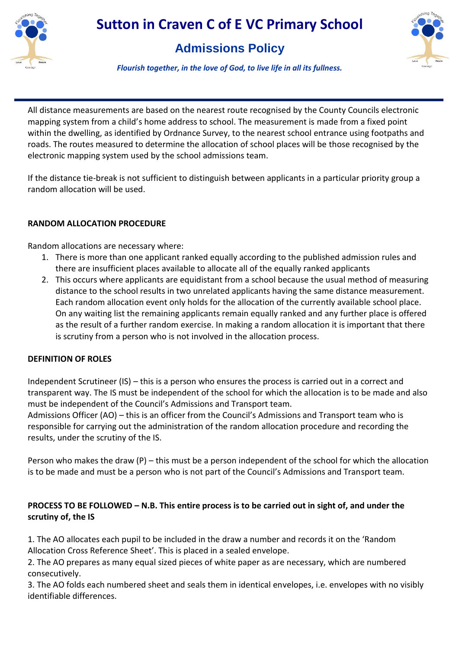

### **Admissions Policy**



*Flourish together, in the love of God, to live life in all its fullness.*

All distance measurements are based on the nearest route recognised by the County Councils electronic mapping system from a child's home address to school. The measurement is made from a fixed point within the dwelling, as identified by Ordnance Survey, to the nearest school entrance using footpaths and roads. The routes measured to determine the allocation of school places will be those recognised by the electronic mapping system used by the school admissions team.

If the distance tie-break is not sufficient to distinguish between applicants in a particular priority group a random allocation will be used.

#### **RANDOM ALLOCATION PROCEDURE**

Random allocations are necessary where:

- 1. There is more than one applicant ranked equally according to the published admission rules and there are insufficient places available to allocate all of the equally ranked applicants
- 2. This occurs where applicants are equidistant from a school because the usual method of measuring distance to the school results in two unrelated applicants having the same distance measurement. Each random allocation event only holds for the allocation of the currently available school place. On any waiting list the remaining applicants remain equally ranked and any further place is offered as the result of a further random exercise. In making a random allocation it is important that there is scrutiny from a person who is not involved in the allocation process.

#### **DEFINITION OF ROLES**

Independent Scrutineer (IS) – this is a person who ensures the process is carried out in a correct and transparent way. The IS must be independent of the school for which the allocation is to be made and also must be independent of the Council's Admissions and Transport team.

Admissions Officer (AO) – this is an officer from the Council's Admissions and Transport team who is responsible for carrying out the administration of the random allocation procedure and recording the results, under the scrutiny of the IS.

Person who makes the draw (P) – this must be a person independent of the school for which the allocation is to be made and must be a person who is not part of the Council's Admissions and Transport team.

#### **PROCESS TO BE FOLLOWED – N.B. This entire process is to be carried out in sight of, and under the scrutiny of, the IS**

1. The AO allocates each pupil to be included in the draw a number and records it on the 'Random Allocation Cross Reference Sheet'. This is placed in a sealed envelope.

2. The AO prepares as many equal sized pieces of white paper as are necessary, which are numbered consecutively.

3. The AO folds each numbered sheet and seals them in identical envelopes, i.e. envelopes with no visibly identifiable differences.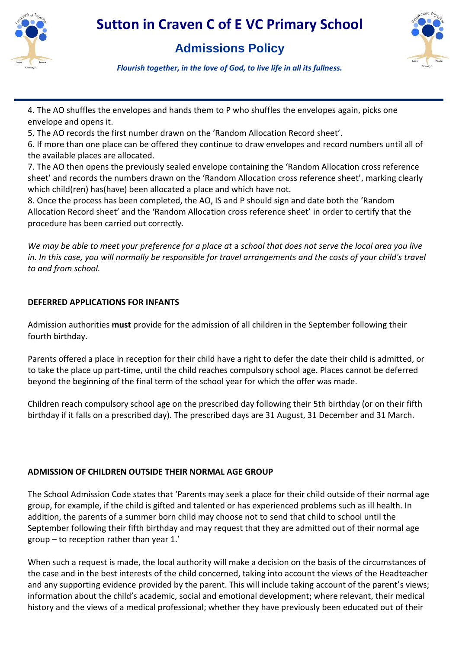

### **Admissions Policy**



*Flourish together, in the love of God, to live life in all its fullness.*

4. The AO shuffles the envelopes and hands them to P who shuffles the envelopes again, picks one envelope and opens it.

5. The AO records the first number drawn on the 'Random Allocation Record sheet'.

6. If more than one place can be offered they continue to draw envelopes and record numbers until all of the available places are allocated.

7. The AO then opens the previously sealed envelope containing the 'Random Allocation cross reference sheet' and records the numbers drawn on the 'Random Allocation cross reference sheet', marking clearly which child(ren) has(have) been allocated a place and which have not.

8. Once the process has been completed, the AO, IS and P should sign and date both the 'Random Allocation Record sheet' and the 'Random Allocation cross reference sheet' in order to certify that the procedure has been carried out correctly.

*We may be able to meet your preference for a place at* a *school that does not serve the local area you live in. In this case, you will normally be responsible for travel arrangements and the costs of your child's travel to and from school.*

#### **DEFERRED APPLICATIONS FOR INFANTS**

Admission authorities **must** provide for the admission of all children in the September following their fourth birthday.

Parents offered a place in reception for their child have a right to defer the date their child is admitted, or to take the place up part-time, until the child reaches compulsory school age. Places cannot be deferred beyond the beginning of the final term of the school year for which the offer was made.

Children reach compulsory school age on the prescribed day following their 5th birthday (or on their fifth birthday if it falls on a prescribed day). The prescribed days are 31 August, 31 December and 31 March.

#### **ADMISSION OF CHILDREN OUTSIDE THEIR NORMAL AGE GROUP**

The School Admission Code states that 'Parents may seek a place for their child outside of their normal age group, for example, if the child is gifted and talented or has experienced problems such as ill health. In addition, the parents of a summer born child may choose not to send that child to school until the September following their fifth birthday and may request that they are admitted out of their normal age group – to reception rather than year 1.'

When such a request is made, the local authority will make a decision on the basis of the circumstances of the case and in the best interests of the child concerned, taking into account the views of the Headteacher and any supporting evidence provided by the parent. This will include taking account of the parent's views; information about the child's academic, social and emotional development; where relevant, their medical history and the views of a medical professional; whether they have previously been educated out of their